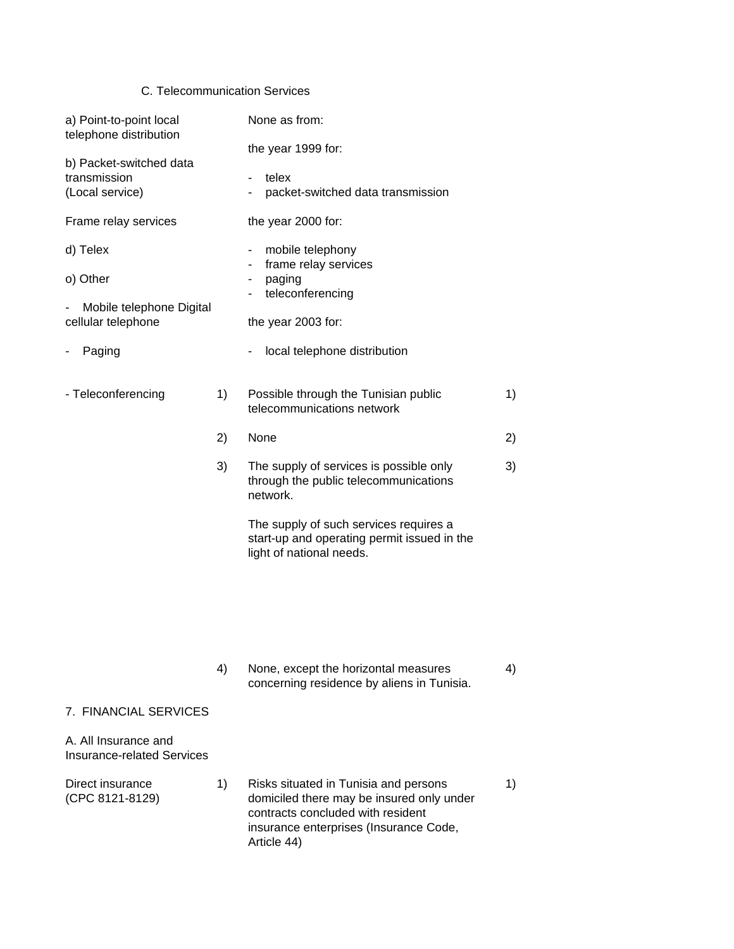### C. Telecommunication Services

| a) Point-to-point local<br>telephone distribution                      |    | None as from:<br>the year 1999 for:                                                                                                                                                   |    |
|------------------------------------------------------------------------|----|---------------------------------------------------------------------------------------------------------------------------------------------------------------------------------------|----|
| b) Packet-switched data<br>transmission<br>(Local service)             |    | telex<br>packet-switched data transmission                                                                                                                                            |    |
| Frame relay services                                                   |    | the year 2000 for:                                                                                                                                                                    |    |
| d) Telex<br>o) Other<br>Mobile telephone Digital<br>cellular telephone |    | mobile telephony<br>$\overline{\phantom{0}}$<br>frame relay services<br>$\overline{\phantom{0}}$<br>paging<br>-<br>teleconferencing<br>$\overline{\phantom{0}}$<br>the year 2003 for: |    |
| Paging                                                                 |    | local telephone distribution                                                                                                                                                          |    |
| - Teleconferencing                                                     | 1) | Possible through the Tunisian public<br>telecommunications network                                                                                                                    | 1) |
|                                                                        | 2) | None                                                                                                                                                                                  | 2) |
|                                                                        | 3) | The supply of services is possible only<br>through the public telecommunications<br>network.                                                                                          | 3) |
|                                                                        |    | The supply of such services requires a<br>start-up and operating permit issued in the<br>light of national needs.                                                                     |    |
|                                                                        |    |                                                                                                                                                                                       |    |
|                                                                        | 4) | None, except the horizontal measures                                                                                                                                                  | 4) |
|                                                                        |    | concerning residence by aliens in Tunisia.                                                                                                                                            |    |

#### 7. FINANCIAL SERVICES

### A. All Insurance and Insurance-related Services

Direct insurance 1) Risks situated in Tunisia and persons 1) (CPC 8121-8129) domiciled there may be insured only under contracts concluded with resident insurance enterprises (Insurance Code, Article 44)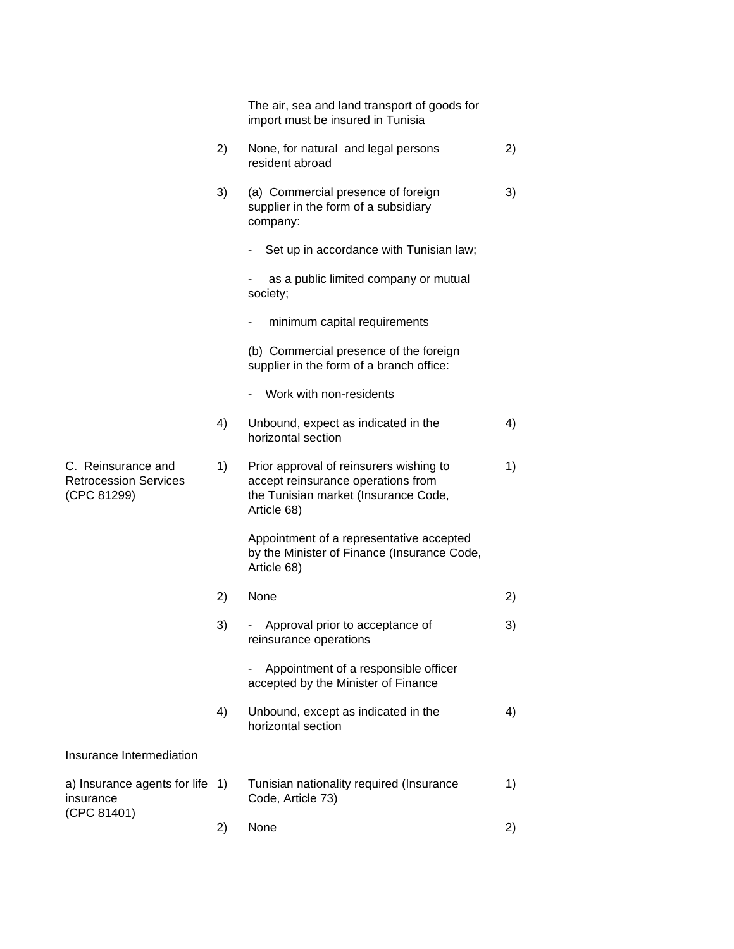|                                                                   |    | The air, sea and land transport of goods for<br>import must be insured in Tunisia                                                    |    |
|-------------------------------------------------------------------|----|--------------------------------------------------------------------------------------------------------------------------------------|----|
|                                                                   | 2) | None, for natural and legal persons<br>resident abroad                                                                               | 2) |
|                                                                   | 3) | (a) Commercial presence of foreign<br>supplier in the form of a subsidiary<br>company:                                               | 3) |
|                                                                   |    | Set up in accordance with Tunisian law;                                                                                              |    |
|                                                                   |    | as a public limited company or mutual<br>society;                                                                                    |    |
|                                                                   |    | minimum capital requirements                                                                                                         |    |
|                                                                   |    | (b) Commercial presence of the foreign<br>supplier in the form of a branch office:                                                   |    |
|                                                                   |    | Work with non-residents                                                                                                              |    |
|                                                                   | 4) | Unbound, expect as indicated in the<br>horizontal section                                                                            | 4) |
| C. Reinsurance and<br><b>Retrocession Services</b><br>(CPC 81299) | 1) | Prior approval of reinsurers wishing to<br>accept reinsurance operations from<br>the Tunisian market (Insurance Code,<br>Article 68) | 1) |
|                                                                   |    | Appointment of a representative accepted<br>by the Minister of Finance (Insurance Code,<br>Article 68)                               |    |
|                                                                   | 2) | None                                                                                                                                 | 2) |
|                                                                   | 3) | Approval prior to acceptance of<br>reinsurance operations                                                                            | 3) |
|                                                                   |    | Appointment of a responsible officer<br>accepted by the Minister of Finance                                                          |    |
|                                                                   | 4) | Unbound, except as indicated in the<br>horizontal section                                                                            | 4) |
| Insurance Intermediation                                          |    |                                                                                                                                      |    |
| a) Insurance agents for life 1)<br>insurance                      |    | Tunisian nationality required (Insurance<br>Code, Article 73)                                                                        | 1) |
| (CPC 81401)                                                       | 2) | None                                                                                                                                 | 2) |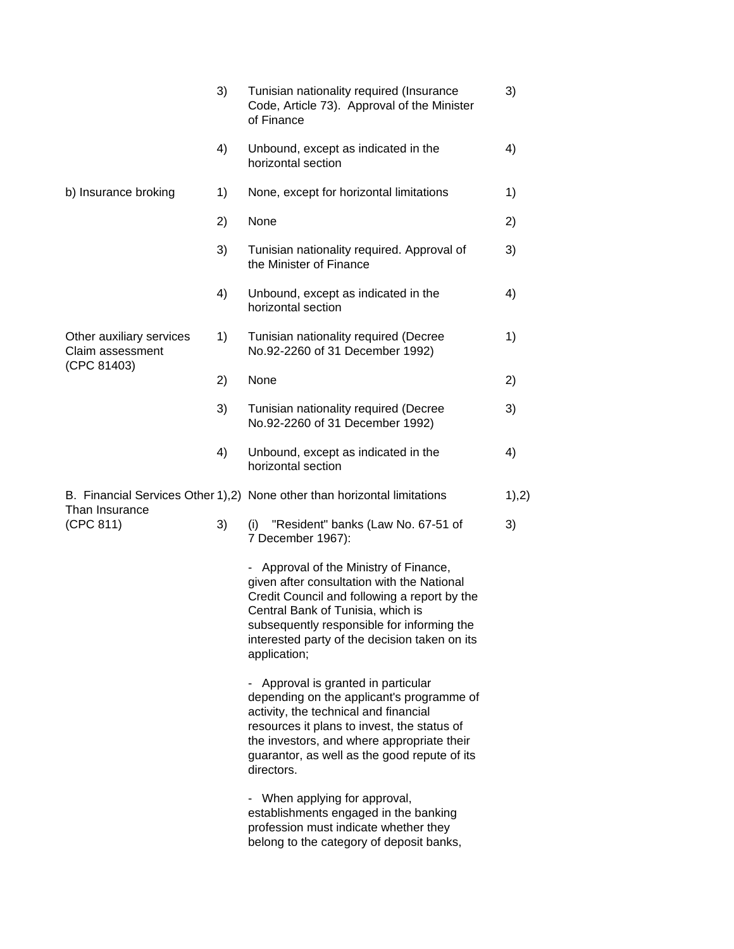|                                                             | 3) | Tunisian nationality required (Insurance<br>Code, Article 73). Approval of the Minister<br>of Finance                                                                                                                                                                                  | 3)    |
|-------------------------------------------------------------|----|----------------------------------------------------------------------------------------------------------------------------------------------------------------------------------------------------------------------------------------------------------------------------------------|-------|
|                                                             | 4) | Unbound, except as indicated in the<br>horizontal section                                                                                                                                                                                                                              | 4)    |
| b) Insurance broking                                        | 1) | None, except for horizontal limitations                                                                                                                                                                                                                                                | 1)    |
|                                                             | 2) | None                                                                                                                                                                                                                                                                                   | 2)    |
|                                                             | 3) | Tunisian nationality required. Approval of<br>the Minister of Finance                                                                                                                                                                                                                  | 3)    |
|                                                             | 4) | Unbound, except as indicated in the<br>horizontal section                                                                                                                                                                                                                              | 4)    |
| Other auxiliary services<br>Claim assessment<br>(CPC 81403) | 1) | Tunisian nationality required (Decree<br>No.92-2260 of 31 December 1992)                                                                                                                                                                                                               | 1)    |
|                                                             | 2) | None                                                                                                                                                                                                                                                                                   | 2)    |
|                                                             | 3) | Tunisian nationality required (Decree<br>No.92-2260 of 31 December 1992)                                                                                                                                                                                                               | 3)    |
|                                                             | 4) | Unbound, except as indicated in the<br>horizontal section                                                                                                                                                                                                                              | 4)    |
| Than Insurance                                              |    | B. Financial Services Other 1),2) None other than horizontal limitations                                                                                                                                                                                                               | 1),2) |
| (CPC 811)                                                   | 3) | "Resident" banks (Law No. 67-51 of<br>(i)<br>7 December 1967):                                                                                                                                                                                                                         | 3)    |
|                                                             |    | Approval of the Ministry of Finance,<br>given after consultation with the National<br>Credit Council and following a report by the<br>Central Bank of Tunisia, which is<br>subsequently responsible for informing the<br>interested party of the decision taken on its<br>application; |       |
|                                                             |    | - Approval is granted in particular<br>depending on the applicant's programme of<br>activity, the technical and financial<br>resources it plans to invest, the status of<br>the investors, and where appropriate their<br>guarantor, as well as the good repute of its<br>directors.   |       |
|                                                             |    | - When applying for approval,<br>establishments engaged in the banking<br>profession must indicate whether they<br>belong to the category of deposit banks,                                                                                                                            |       |
|                                                             |    |                                                                                                                                                                                                                                                                                        |       |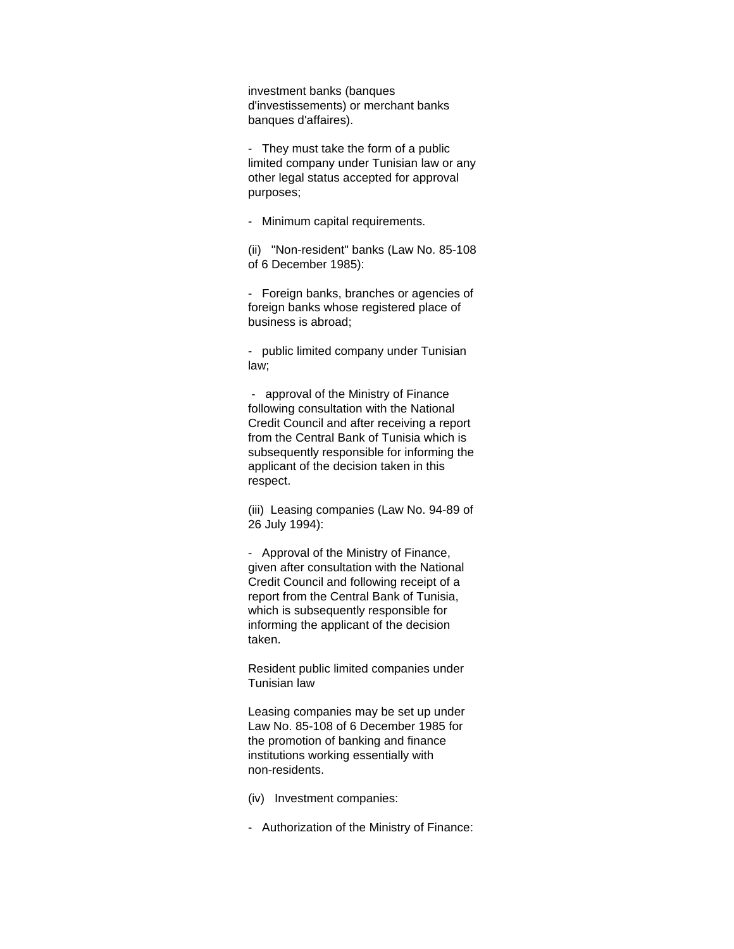investment banks (banques d'investissements) or merchant banks banques d'affaires).

- They must take the form of a public limited company under Tunisian law or any other legal status accepted for approval purposes;

- Minimum capital requirements.

(ii) "Non-resident" banks (Law No. 85-108 of 6 December 1985):

- Foreign banks, branches or agencies of foreign banks whose registered place of business is abroad;

- public limited company under Tunisian law;

 - approval of the Ministry of Finance following consultation with the National Credit Council and after receiving a report from the Central Bank of Tunisia which is subsequently responsible for informing the applicant of the decision taken in this respect.

(iii) Leasing companies (Law No. 94-89 of 26 July 1994):

- Approval of the Ministry of Finance, given after consultation with the National Credit Council and following receipt of a report from the Central Bank of Tunisia, which is subsequently responsible for informing the applicant of the decision taken.

Resident public limited companies under Tunisian law

Leasing companies may be set up under Law No. 85-108 of 6 December 1985 for the promotion of banking and finance institutions working essentially with non-residents.

(iv) Investment companies:

- Authorization of the Ministry of Finance: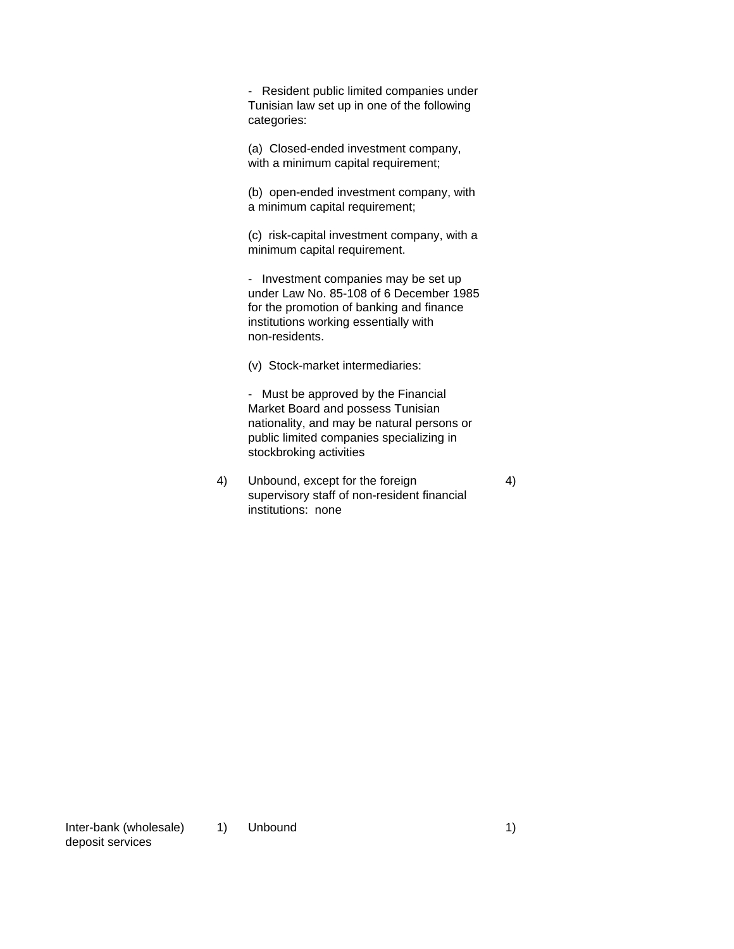- Resident public limited companies under Tunisian law set up in one of the following categories:

(a) Closed-ended investment company, with a minimum capital requirement;

(b) open-ended investment company, with a minimum capital requirement;

(c) risk-capital investment company, with a minimum capital requirement.

- Investment companies may be set up under Law No. 85-108 of 6 December 1985 for the promotion of banking and finance institutions working essentially with non-residents.

(v) Stock-market intermediaries:

- Must be approved by the Financial Market Board and possess Tunisian nationality, and may be natural persons or public limited companies specializing in stockbroking activities

4) Unbound, except for the foreign 4) supervisory staff of non-resident financial institutions: none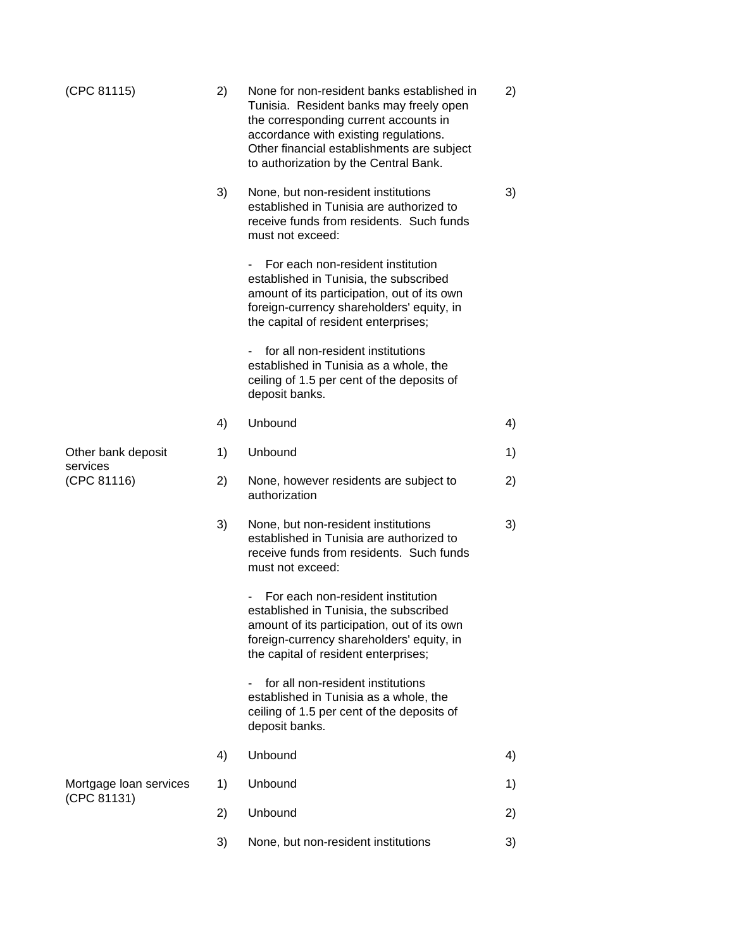| (CPC 81115)             | 2) | None for non-resident banks established in<br>Tunisia. Resident banks may freely open<br>the corresponding current accounts in<br>accordance with existing regulations.<br>Other financial establishments are subject<br>to authorization by the Central Bank. | 2) |
|-------------------------|----|----------------------------------------------------------------------------------------------------------------------------------------------------------------------------------------------------------------------------------------------------------------|----|
|                         | 3) | None, but non-resident institutions<br>established in Tunisia are authorized to<br>receive funds from residents. Such funds<br>must not exceed:                                                                                                                | 3) |
|                         |    | For each non-resident institution<br>established in Tunisia, the subscribed<br>amount of its participation, out of its own<br>foreign-currency shareholders' equity, in<br>the capital of resident enterprises;                                                |    |
|                         |    | for all non-resident institutions<br>established in Tunisia as a whole, the<br>ceiling of 1.5 per cent of the deposits of<br>deposit banks.                                                                                                                    |    |
|                         | 4) | Unbound                                                                                                                                                                                                                                                        | 4) |
| Other bank deposit      | 1) | Unbound                                                                                                                                                                                                                                                        | 1) |
| services<br>(CPC 81116) | 2) | None, however residents are subject to<br>authorization                                                                                                                                                                                                        | 2) |
|                         | 3) | None, but non-resident institutions<br>established in Tunisia are authorized to<br>receive funds from residents. Such funds<br>must not exceed:                                                                                                                | 3) |
|                         |    | For each non-resident institution<br>established in Tunisia, the subscribed<br>amount of its participation, out of its own<br>foreign-currency shareholders' equity, in<br>the capital of resident enterprises;                                                |    |
|                         |    | for all non-resident institutions<br>established in Tunisia as a whole, the<br>ceiling of 1.5 per cent of the deposits of<br>deposit banks.                                                                                                                    |    |
|                         | 4) | Unbound                                                                                                                                                                                                                                                        | 4) |
| Mortgage loan services  | 1) | Unbound                                                                                                                                                                                                                                                        | 1) |
| (CPC 81131)             | 2) | Unbound                                                                                                                                                                                                                                                        | 2) |
|                         | 3) | None, but non-resident institutions                                                                                                                                                                                                                            | 3) |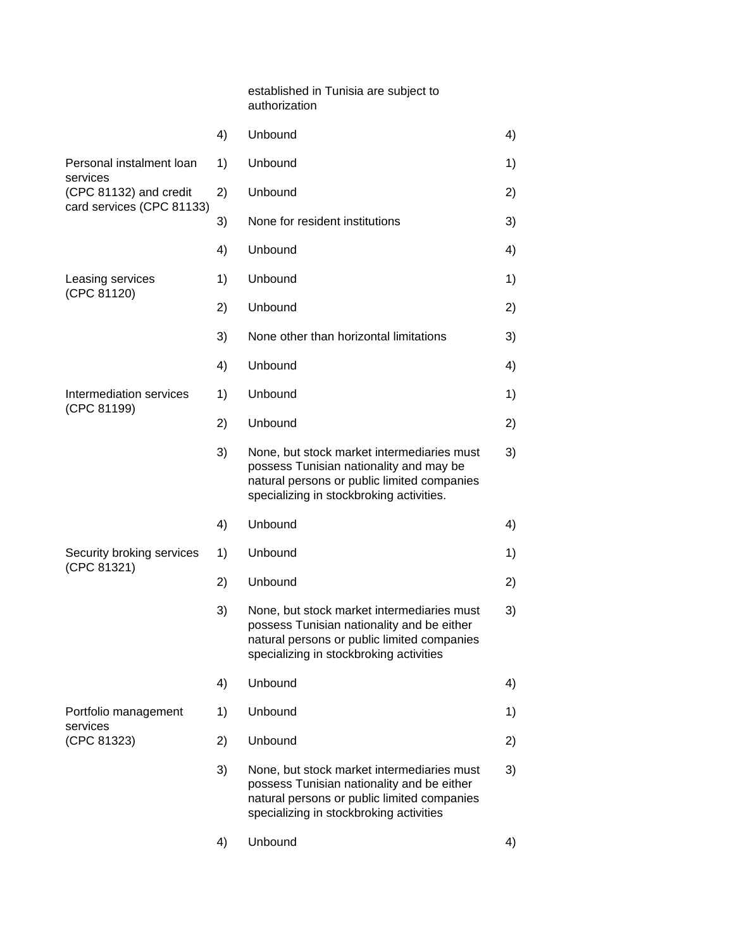| established in Tunisia are subject to |  |
|---------------------------------------|--|
| authorization                         |  |

|                                          | 4) | Unbound                                                                                                                                                                            | 4) |
|------------------------------------------|----|------------------------------------------------------------------------------------------------------------------------------------------------------------------------------------|----|
| Personal instalment loan                 | 1) | Unbound                                                                                                                                                                            | 1) |
| services<br>(CPC 81132) and credit       | 2) | Unbound                                                                                                                                                                            | 2) |
| card services (CPC 81133)                | 3) | None for resident institutions                                                                                                                                                     | 3) |
|                                          | 4) | Unbound                                                                                                                                                                            | 4) |
| Leasing services                         | 1) | Unbound                                                                                                                                                                            | 1) |
| (CPC 81120)                              | 2) | Unbound                                                                                                                                                                            | 2) |
|                                          | 3) | None other than horizontal limitations                                                                                                                                             | 3) |
|                                          | 4) | Unbound                                                                                                                                                                            | 4) |
| Intermediation services<br>(CPC 81199)   | 1) | Unbound                                                                                                                                                                            | 1) |
|                                          | 2) | Unbound                                                                                                                                                                            | 2) |
|                                          | 3) | None, but stock market intermediaries must<br>possess Tunisian nationality and may be<br>natural persons or public limited companies<br>specializing in stockbroking activities.   | 3) |
|                                          | 4) | Unbound                                                                                                                                                                            | 4) |
| Security broking services<br>(CPC 81321) | 1) | Unbound                                                                                                                                                                            | 1) |
|                                          | 2) | Unbound                                                                                                                                                                            | 2) |
|                                          | 3) | None, but stock market intermediaries must<br>possess Tunisian nationality and be either<br>natural persons or public limited companies<br>specializing in stockbroking activities | 3) |
|                                          | 4) | Unbound                                                                                                                                                                            | 4) |
| Portfolio management<br>services         | 1) | Unbound                                                                                                                                                                            | 1) |
| (CPC 81323)                              | 2) | Unbound                                                                                                                                                                            | 2) |
|                                          | 3) | None, but stock market intermediaries must<br>possess Tunisian nationality and be either<br>natural persons or public limited companies<br>specializing in stockbroking activities | 3) |
|                                          | 4) | Unbound                                                                                                                                                                            | 4) |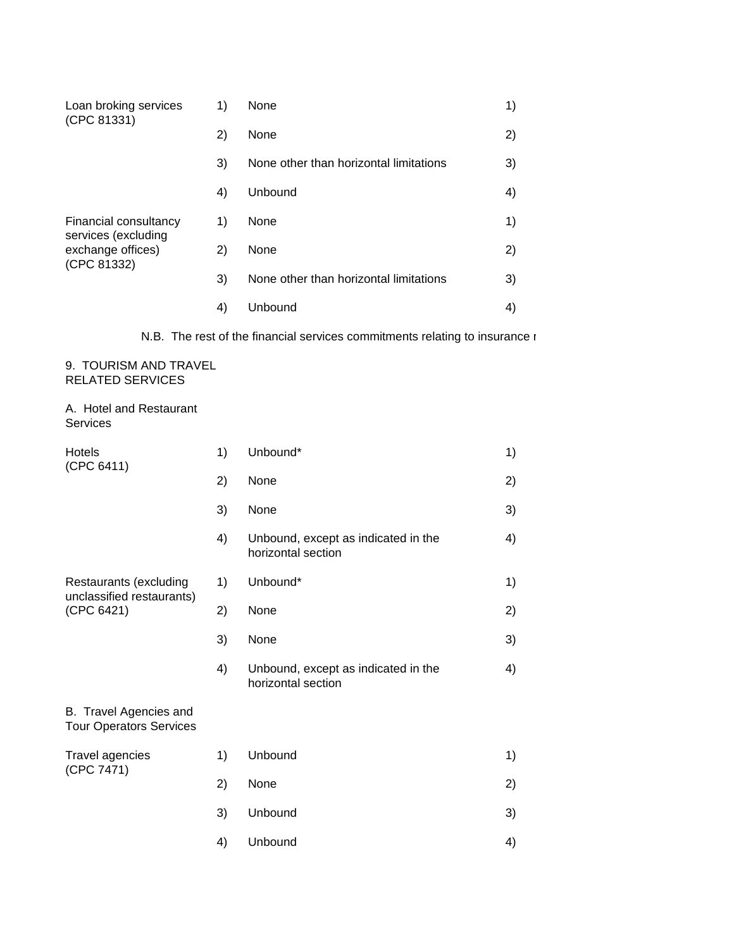| Loan broking services<br>(CPC 81331)                                             | 1) | None                                   | 1) |
|----------------------------------------------------------------------------------|----|----------------------------------------|----|
|                                                                                  | 2) | None                                   | 2) |
|                                                                                  | 3) | None other than horizontal limitations | 3) |
|                                                                                  | 4) | Unbound                                | 4) |
| Financial consultancy<br>services (excluding<br>exchange offices)<br>(CPC 81332) | 1) | None                                   | 1) |
|                                                                                  | 2) | None                                   | 2) |
|                                                                                  | 3) | None other than horizontal limitations | 3) |
|                                                                                  | 4) | Unbound                                | 4) |

N.B. The rest of the financial services commitments relating to insurance  $\iota$ 

### 9. TOURISM AND TRAVEL RELATED SERVICES

# A. Hotel and Restaurant Services

| <b>Hotels</b><br>(CPC 6411)                                       | 1) | Unbound*                                                  | 1) |
|-------------------------------------------------------------------|----|-----------------------------------------------------------|----|
|                                                                   | 2) | None                                                      | 2) |
|                                                                   | 3) | None                                                      | 3) |
|                                                                   | 4) | Unbound, except as indicated in the<br>horizontal section | 4) |
| Restaurants (excluding<br>unclassified restaurants)<br>(CPC 6421) | 1) | Unbound*                                                  | 1) |
|                                                                   | 2) | None                                                      | 2) |
|                                                                   | 3) | None                                                      | 3) |
|                                                                   | 4) | Unbound, except as indicated in the<br>horizontal section | 4) |
| B. Travel Agencies and<br><b>Tour Operators Services</b>          |    |                                                           |    |
| Travel agencies<br>(CPC 7471)                                     | 1) | Unbound                                                   | 1) |
|                                                                   | 2) | None                                                      | 2) |
|                                                                   | 3) | Unbound                                                   | 3) |
|                                                                   | 4) | Unbound                                                   | 4) |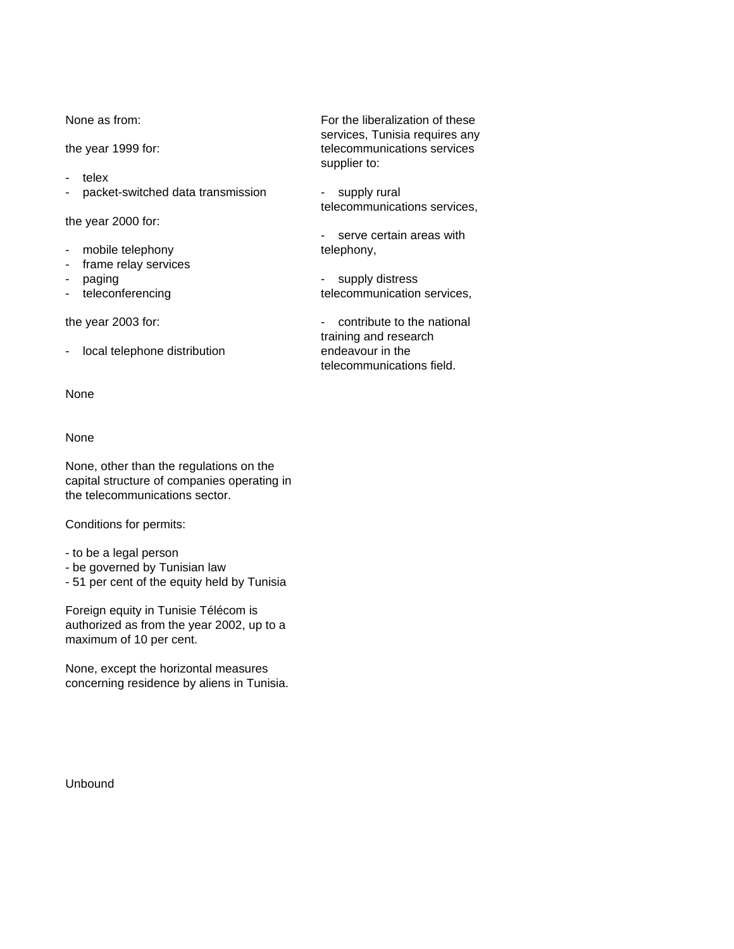- telex
- packet-switched data transmission supply rural

the year 2000 for:

- mobile telephony and telephony,
- frame relay services
- 
- 

- local telephone distribution endeavour in the

None

# None

None, other than the regulations on the capital structure of companies operating in the telecommunications sector.

Conditions for permits:

- to be a legal person
- be governed by Tunisian law
- 51 per cent of the equity held by Tunisia

Foreign equity in Tunisie Télécom is authorized as from the year 2002, up to a maximum of 10 per cent.

None, except the horizontal measures concerning residence by aliens in Tunisia.

Unbound

None as from: For the liberalization of these services, Tunisia requires any the year 1999 for:<br>telecommunications services supplier to:

telecommunications services,

- serve certain areas with

paging example and the supply distress paging and the supply distress of  $\sim$  supply distress - teleconferencing telecommunication services,

the year 2003 for:  $\qquad \qquad -$  contribute to the national training and research telecommunications field.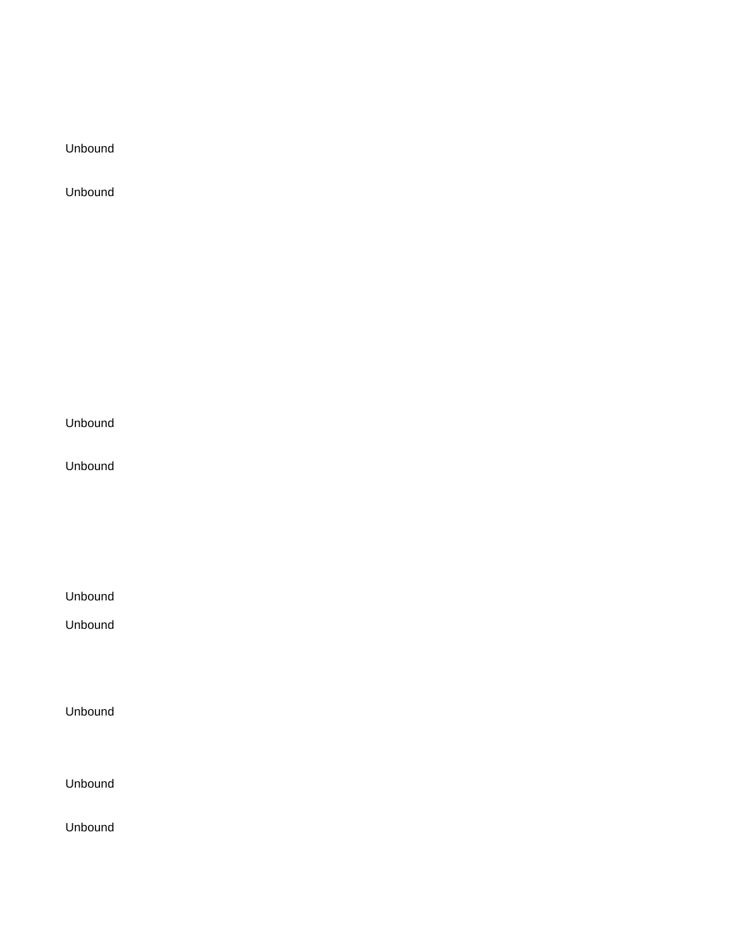Unbound

Unbound

Unbound

Unbound

Unbound

Unbound

Unbound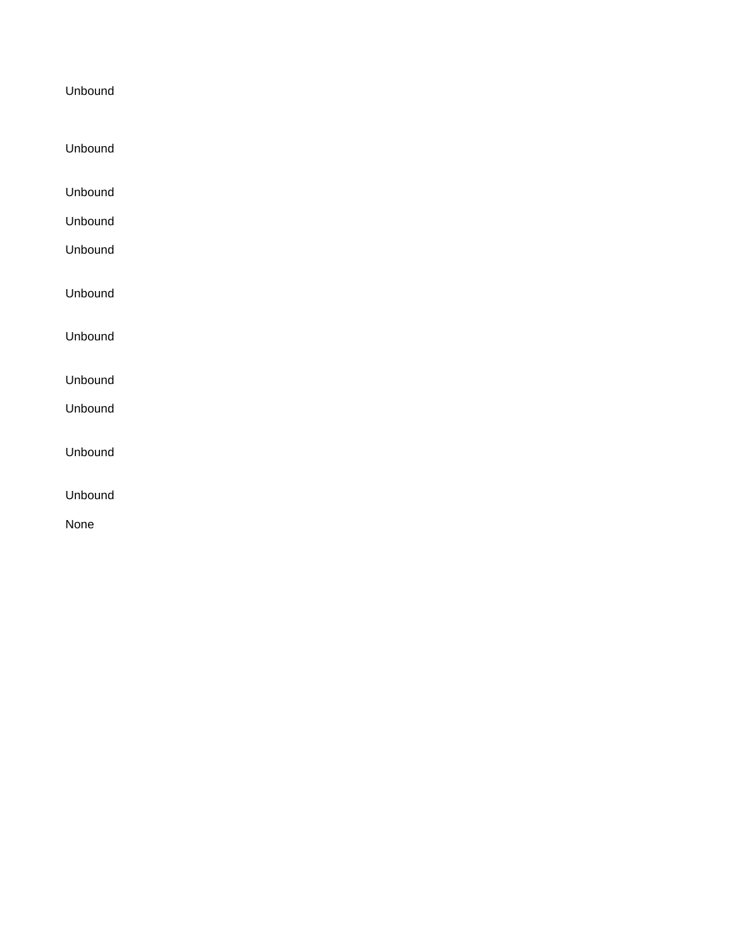- Unbound
- Unbound
- Unbound
- Unbound

Unbound

Unbound

- Unbound
- Unbound
- Unbound
- Unbound

None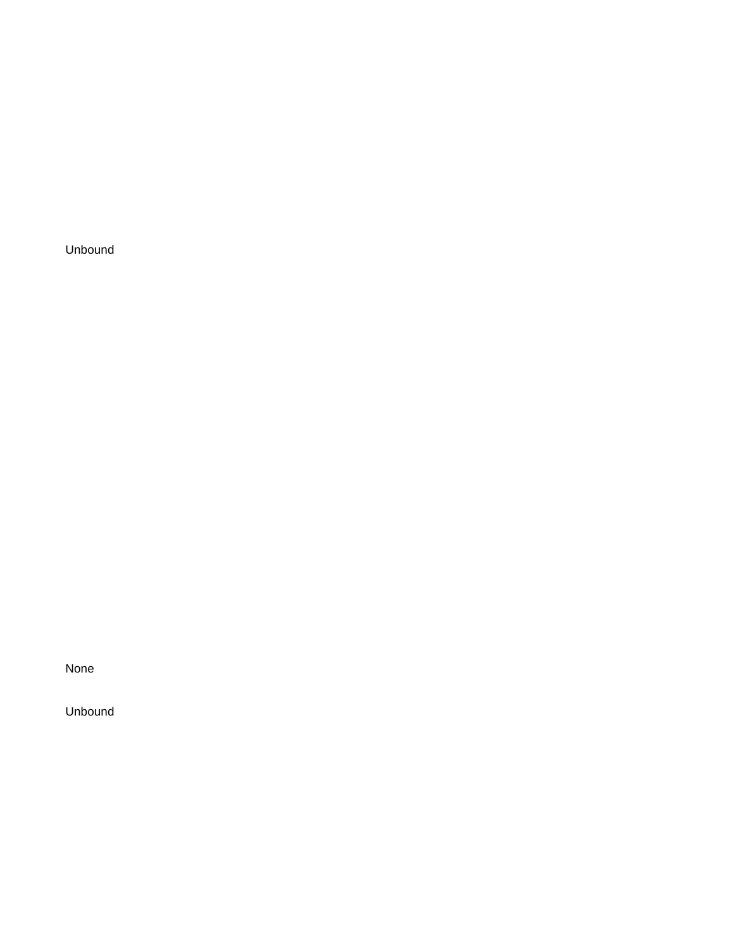None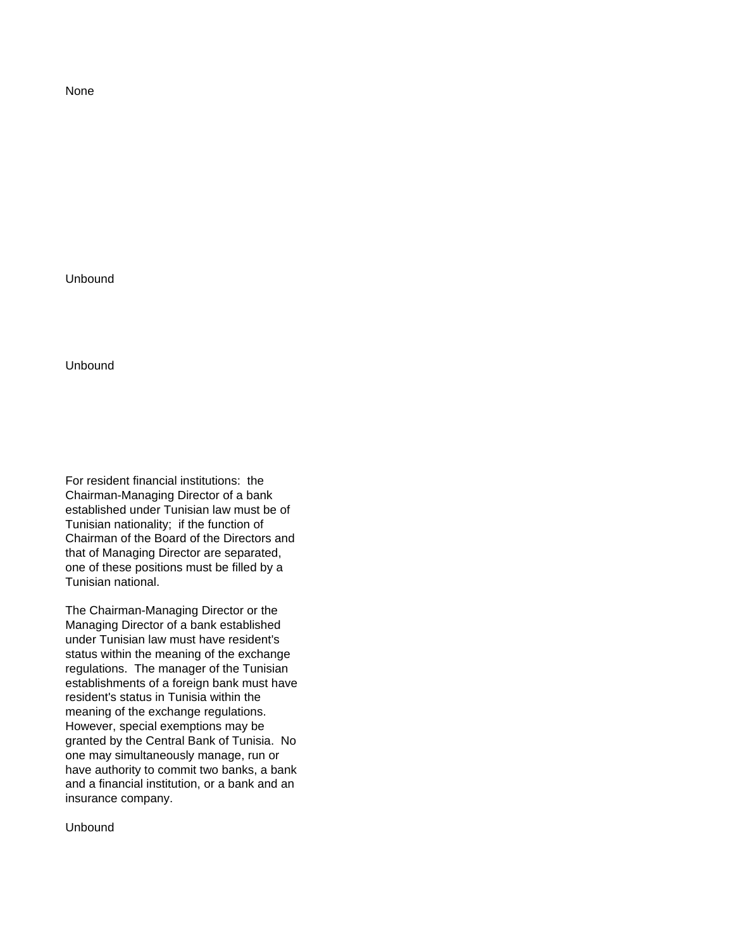None

Unbound

Unbound

For resident financial institutions: the Chairman-Managing Director of a bank established under Tunisian law must be of Tunisian nationality; if the function of Chairman of the Board of the Directors and that of Managing Director are separated, one of these positions must be filled by a Tunisian national.

The Chairman-Managing Director or the Managing Director of a bank established under Tunisian law must have resident's status within the meaning of the exchange regulations. The manager of the Tunisian establishments of a foreign bank must have resident's status in Tunisia within the meaning of the exchange regulations. However, special exemptions may be granted by the Central Bank of Tunisia. No one may simultaneously manage, run or have authority to commit two banks, a bank and a financial institution, or a bank and an insurance company.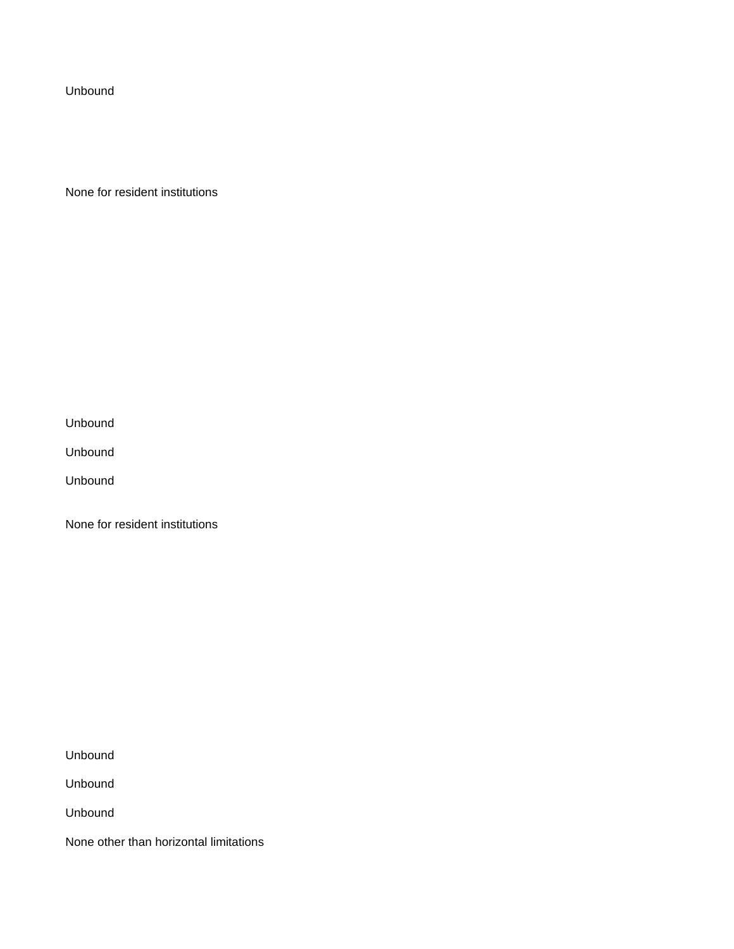None for resident institutions

Unbound

Unbound

Unbound

None for resident institutions

Unbound

Unbound

Unbound

None other than horizontal limitations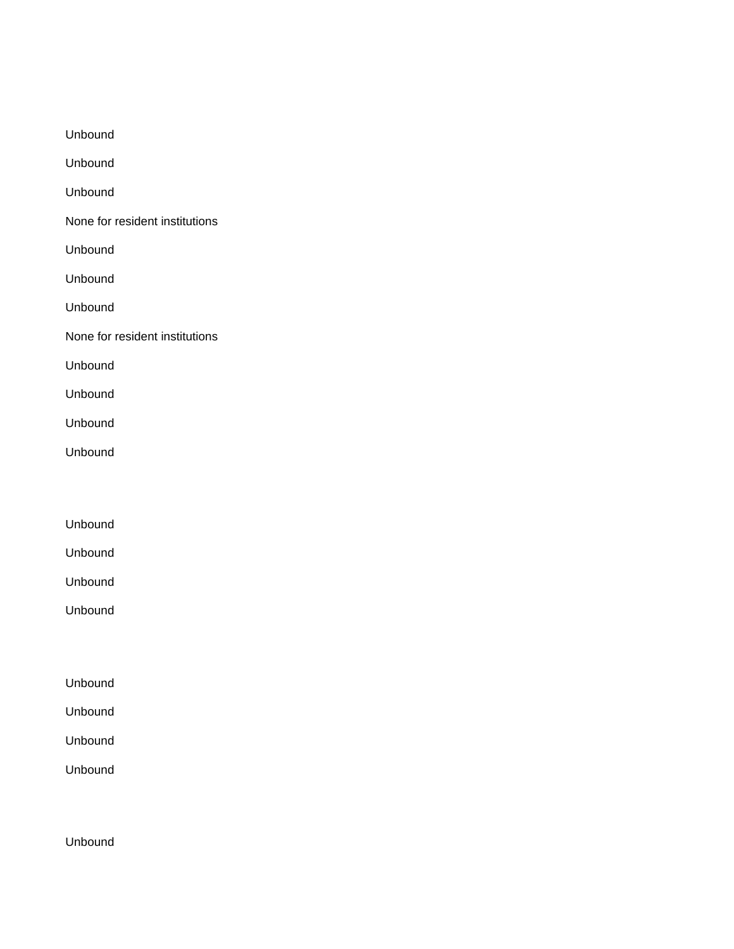| Unbound                        |
|--------------------------------|
| Unbound                        |
| Unbound                        |
| None for resident institutions |
| Unbound                        |
| Unbound                        |
| Unbound                        |
| None for resident institutions |
| Unbound                        |
| Unbound                        |
| Unbound                        |
| Unbound                        |
|                                |
|                                |
| Unbound                        |
| Unbound                        |
| Unbound                        |
| Unbound                        |
|                                |
|                                |
|                                |

- Unbound
- Unbound

Unbound